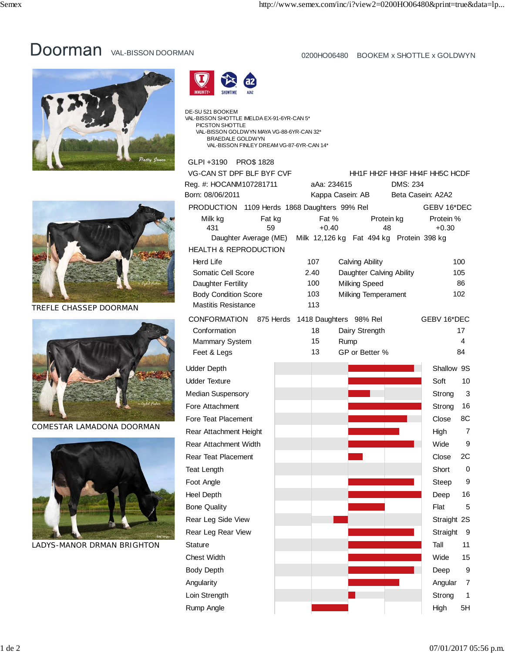## DOOTMAN VAL-BISSON DOORMAN 0200HO06480 BOOKEM x SHOTTLE x GOLDWYN







TREFLE CHASSEP DOORMAN



COMESTAR LAMADONA DOORMAN



LADYS-MANOR DRMAN BRIGHTON

| <b>MMUNITY+</b> | SHOWTIME                 | A2A2 |                                    |
|-----------------|--------------------------|------|------------------------------------|
|                 | SU 521 BOOKEM            |      | BISSON SHOTTLE IMELDA EX-91-6YR-CA |
|                 | <b>DIOOTO !! OLIOTTI</b> |      |                                    |

DE-S<br>VAL- VAL-BISSON SHOTTLE IMELDA EX-91-6YR-CAN 5\* PICSTON SHOTTLE VAL-BISSON GOLDWYN MAYA VG-88-6YR-CAN 32\* BRAEDALE GOLDWYN VAL-BISSON FINLEY DREAM VG-87-6YR-CAN 14\*

## GLPI +3190 PRO\$ 1828

| VG-CAN ST DPF BLF BYF CVF                                      |      | HH1F HH2F HH3F HH4F HH5C HCDF      |                  |                   |                      |    |  |  |
|----------------------------------------------------------------|------|------------------------------------|------------------|-------------------|----------------------|----|--|--|
| Reg. #: HOCANM107281711                                        |      | aAa: 234615<br>DMS: 234            |                  |                   |                      |    |  |  |
| Born: 08/06/2011                                               |      | Kappa Casein: AB                   |                  | Beta Casein: A2A2 |                      |    |  |  |
| PRODUCTION 1109 Herds 1868 Daughters 99% Rel                   |      |                                    |                  |                   | GEBV 16*DEC          |    |  |  |
| Milk kg<br>Fat kg<br>431<br>59                                 |      | Fat %<br>$+0.40$                   | Protein kg<br>48 |                   | Protein %<br>$+0.30$ |    |  |  |
| Daughter Average (ME) Milk 12,126 kg Fat 494 kg Protein 398 kg |      |                                    |                  |                   |                      |    |  |  |
| <b>HEALTH &amp; REPRODUCTION</b>                               |      |                                    |                  |                   |                      |    |  |  |
| <b>Herd Life</b>                                               |      | 107<br>Calving Ability             |                  |                   | 100                  |    |  |  |
| Somatic Cell Score                                             | 2.40 | Daughter Calving Ability           |                  |                   | 105                  |    |  |  |
| Daughter Fertility<br><b>Body Condition Score</b>              |      | 100<br><b>Milking Speed</b><br>103 |                  |                   | 86<br>102            |    |  |  |
| <b>Mastitis Resistance</b>                                     |      | <b>Milking Temperament</b><br>113  |                  |                   |                      |    |  |  |
| CONFORMATION 875 Herds                                         |      | 1418 Daughters 98% Rel             |                  |                   | GEBV 16*DEC          |    |  |  |
| Conformation                                                   |      | 18                                 | Dairy Strength   |                   |                      | 17 |  |  |
| <b>Mammary System</b>                                          |      | 15<br>Rump                         |                  |                   |                      | 4  |  |  |
| Feet & Legs                                                    |      | 13                                 | GP or Better %   |                   |                      | 84 |  |  |
| <b>Udder Depth</b>                                             |      |                                    |                  |                   | Shallow 9S           |    |  |  |
| <b>Udder Texture</b>                                           |      |                                    |                  |                   | Soft                 | 10 |  |  |
| <b>Median Suspensory</b>                                       |      |                                    |                  |                   | Strong               | 3  |  |  |
| Fore Attachment                                                |      |                                    |                  |                   | Strong               | 16 |  |  |
| Fore Teat Placement                                            |      |                                    |                  |                   | Close                | 8С |  |  |
| Rear Attachment Height                                         |      |                                    |                  |                   | High                 | 7  |  |  |
| <b>Rear Attachment Width</b>                                   |      |                                    |                  |                   | Wide                 | 9  |  |  |
| <b>Rear Teat Placement</b>                                     |      |                                    |                  |                   | Close                | 2C |  |  |
| <b>Teat Length</b>                                             |      |                                    |                  |                   | Short                | 0  |  |  |
| Foot Angle                                                     |      |                                    |                  |                   | Steep                | 9  |  |  |
| <b>Heel Depth</b>                                              |      |                                    |                  |                   | Deep                 | 16 |  |  |
| <b>Bone Quality</b>                                            |      |                                    |                  |                   | Flat                 | 5  |  |  |
| Rear Leg Side View                                             |      |                                    |                  |                   | Straight 2S          |    |  |  |
| Rear Leg Rear View                                             |      |                                    |                  |                   | Straight             | 9  |  |  |
| <b>Stature</b>                                                 |      |                                    |                  |                   | Tall                 | 11 |  |  |
| Chest Width                                                    |      |                                    |                  |                   | Wide                 | 15 |  |  |
| <b>Body Depth</b>                                              |      |                                    |                  |                   | Deep                 | 9  |  |  |
| Angularity                                                     |      |                                    |                  |                   | Angular              | 7  |  |  |
| Loin Strength                                                  |      |                                    |                  |                   | Strong               | 1  |  |  |
| Rump Angle                                                     |      |                                    |                  |                   | High                 | 5H |  |  |